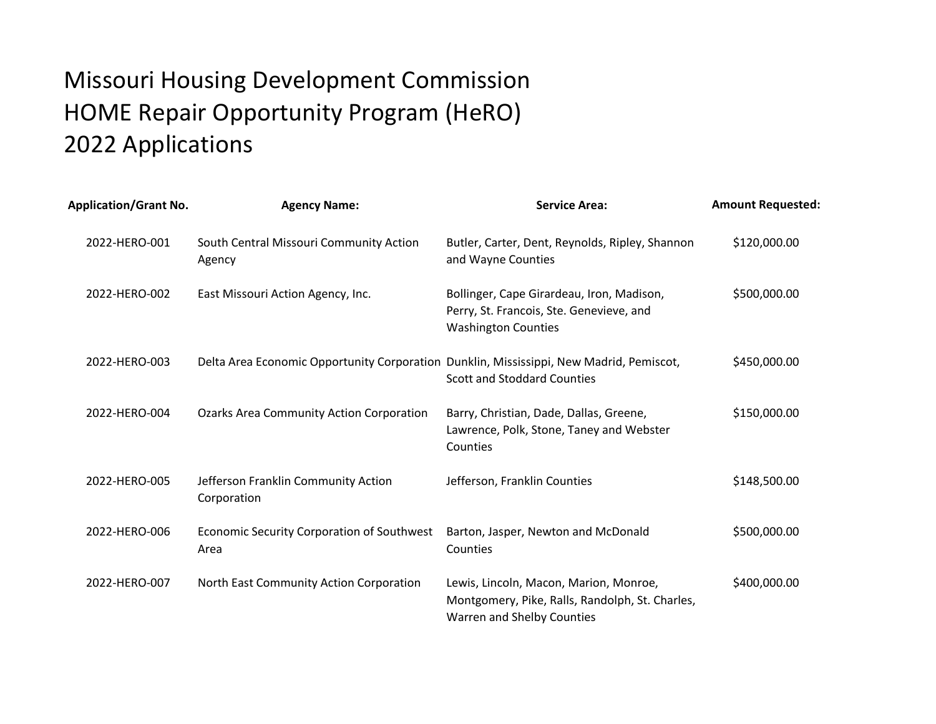## Missouri Housing Development Commission HOME Repair Opportunity Program (HeRO) 2022 Applications

| <b>Application/Grant No.</b> | <b>Agency Name:</b>                                                                     | <b>Service Area:</b>                                                                                                    | <b>Amount Requested:</b> |
|------------------------------|-----------------------------------------------------------------------------------------|-------------------------------------------------------------------------------------------------------------------------|--------------------------|
| 2022-HERO-001                | South Central Missouri Community Action<br>Agency                                       | Butler, Carter, Dent, Reynolds, Ripley, Shannon<br>and Wayne Counties                                                   | \$120,000.00             |
| 2022-HERO-002                | East Missouri Action Agency, Inc.                                                       | Bollinger, Cape Girardeau, Iron, Madison,<br>Perry, St. Francois, Ste. Genevieve, and<br><b>Washington Counties</b>     | \$500,000.00             |
| 2022-HERO-003                | Delta Area Economic Opportunity Corporation Dunklin, Mississippi, New Madrid, Pemiscot, | <b>Scott and Stoddard Counties</b>                                                                                      | \$450,000.00             |
| 2022-HERO-004                | <b>Ozarks Area Community Action Corporation</b>                                         | Barry, Christian, Dade, Dallas, Greene,<br>Lawrence, Polk, Stone, Taney and Webster<br>Counties                         | \$150,000.00             |
| 2022-HERO-005                | Jefferson Franklin Community Action<br>Corporation                                      | Jefferson, Franklin Counties                                                                                            | \$148,500.00             |
| 2022-HERO-006                | Economic Security Corporation of Southwest<br>Area                                      | Barton, Jasper, Newton and McDonald<br>Counties                                                                         | \$500,000.00             |
| 2022-HERO-007                | North East Community Action Corporation                                                 | Lewis, Lincoln, Macon, Marion, Monroe,<br>Montgomery, Pike, Ralls, Randolph, St. Charles,<br>Warren and Shelby Counties | \$400,000.00             |